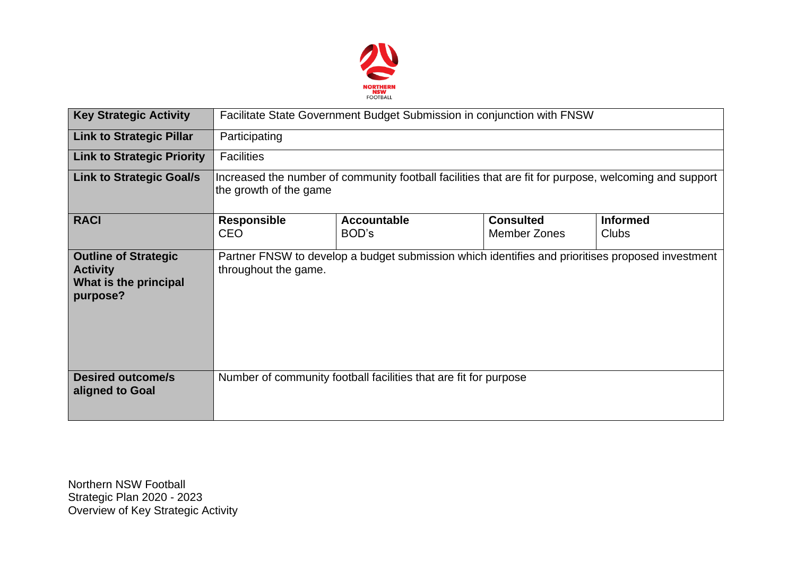

| <b>Key Strategic Activity</b>                                                       | Facilitate State Government Budget Submission in conjunction with FNSW                                                          |                                                                  |                                         |                                 |  |  |  |
|-------------------------------------------------------------------------------------|---------------------------------------------------------------------------------------------------------------------------------|------------------------------------------------------------------|-----------------------------------------|---------------------------------|--|--|--|
| <b>Link to Strategic Pillar</b>                                                     | Participating                                                                                                                   |                                                                  |                                         |                                 |  |  |  |
| <b>Link to Strategic Priority</b>                                                   | <b>Facilities</b>                                                                                                               |                                                                  |                                         |                                 |  |  |  |
| <b>Link to Strategic Goal/s</b>                                                     | Increased the number of community football facilities that are fit for purpose, welcoming and support<br>the growth of the game |                                                                  |                                         |                                 |  |  |  |
| <b>RACI</b>                                                                         | <b>Responsible</b><br><b>CEO</b>                                                                                                | <b>Accountable</b><br>BOD's                                      | <b>Consulted</b><br><b>Member Zones</b> | <b>Informed</b><br><b>Clubs</b> |  |  |  |
| <b>Outline of Strategic</b><br><b>Activity</b><br>What is the principal<br>purpose? | Partner FNSW to develop a budget submission which identifies and prioritises proposed investment<br>throughout the game.        |                                                                  |                                         |                                 |  |  |  |
| <b>Desired outcome/s</b><br>aligned to Goal                                         |                                                                                                                                 | Number of community football facilities that are fit for purpose |                                         |                                 |  |  |  |

Northern NSW Football Strategic Plan 2020 - 2023 Overview of Key Strategic Activity